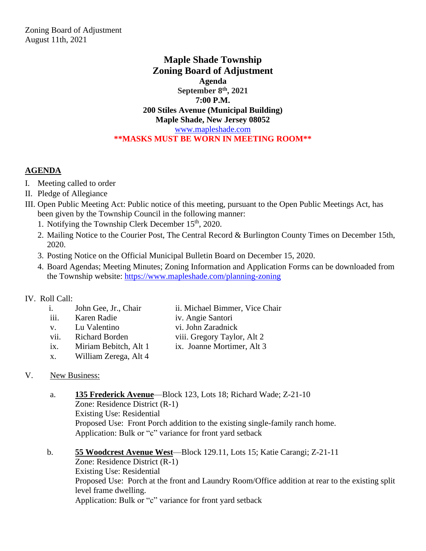## **Maple Shade Township Zoning Board of Adjustment Agenda September 8 th, 2021 7:00 P.M. 200 Stiles Avenue (Municipal Building) Maple Shade, New Jersey 08052** [www.mapleshade.com](http://www.mapleshade.com/) **\*\*MASKS MUST BE WORN IN MEETING ROOM\*\***

## **AGENDA**

- I. Meeting called to order
- II. Pledge of Allegiance
- III. Open Public Meeting Act: Public notice of this meeting, pursuant to the Open Public Meetings Act, has been given by the Township Council in the following manner:
	- 1. Notifying the Township Clerk December  $15<sup>th</sup>$ , 2020.
	- 2. Mailing Notice to the Courier Post, The Central Record & Burlington County Times on December 15th, 2020.
	- 3. Posting Notice on the Official Municipal Bulletin Board on December 15, 2020.
	- 4. Board Agendas; Meeting Minutes; Zoning Information and Application Forms can be downloaded from the Township website:<https://www.mapleshade.com/planning-zoning>

## IV. Roll Call:

| $\mathbf{i}$ . | John Gee, Jr., Chair  | ii. Michael Bimmer, Vice Chair |
|----------------|-----------------------|--------------------------------|
| iii.           | Karen Radie           | iv. Angie Santori              |
| $V_{\star}$    | Lu Valentino          | vi. John Zaradnick             |
| vii.           | <b>Richard Borden</b> | viii. Gregory Taylor, Alt 2    |
| ix.            | Miriam Bebitch, Alt 1 | ix. Joanne Mortimer, Alt 3     |
| Х.             | William Zerega, Alt 4 |                                |
|                |                       |                                |

## V. New Business:

- a. **135 Frederick Avenue**—Block 123, Lots 18; Richard Wade; Z-21-10 Zone: Residence District (R-1) Existing Use: Residential Proposed Use: Front Porch addition to the existing single-family ranch home. Application: Bulk or "c" variance for front yard setback
- b. **55 Woodcrest Avenue West**—Block 129.11, Lots 15; Katie Carangi; Z-21-11 Zone: Residence District (R-1) Existing Use: Residential Proposed Use: Porch at the front and Laundry Room/Office addition at rear to the existing split level frame dwelling. Application: Bulk or "c" variance for front yard setback